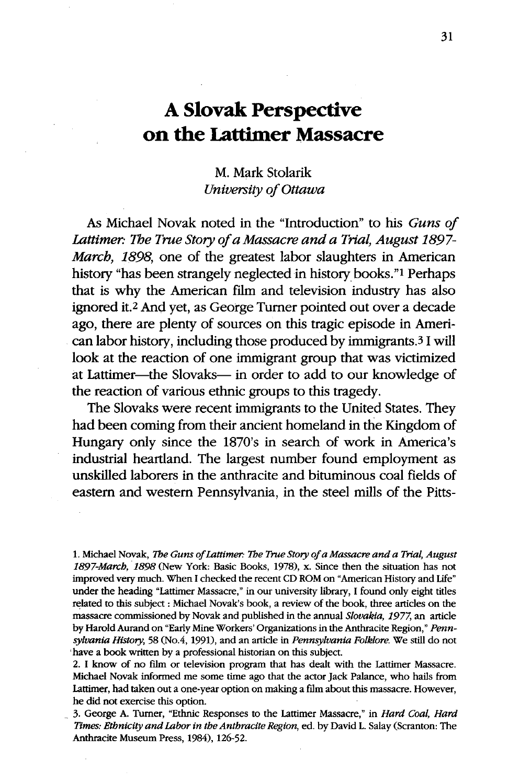## A Slovak Perspective on the Lattimer Massacre

## M. Mark Stolarik *University of Ottawa*

As Michael Novak noted in the "Introduction" to his *Guns of* Lattimer: The True Story of a Massacre and a Trial, August 1897-*March, 1898,* one of the greatest labor slaughters in American history "has been strangely neglected in history books."<sup>1</sup> Perhaps that is why the American film and television industry has also ignored it.2 And yet, as George Turner pointed out over a decade ago, there are plenty of sources on this tragic episode in American labor history, including those produced by immigrants.3 I will look at the reaction of one immigrant group that was victimized at Lattimer-the Slovaks- in order to add to our knowledge of the reaction of various ethnic groups to this tragedy.

The Slovaks were recent immigrants to the United States. They had been coming from their ancient homeland in the Kingdom of Hungary only since the 1870's in search of work in America's industrial heartland. The largest number found employment as unskilled laborers in the anthracite and bituminous coal fields of eastern and western Pennsylvania, in the steel mills of the Pitts-

1. Michael Novak, *The Guns of Lattimer: The True Story of a Massacre and a Trial, August 1897-March, 1898* (New York: Basic Books, 1978), x. Since then the situation has not improved very much. When I checked the recent CD ROM on "American History and Life" under the heading "Lattimer Massacre," in our university library, I found only eight titles related to this subject: Michael Novak's book, a review of the book, three articles on the massacre commissioned by Novak and published in the annual *Slovakia, 1977,* an article by Harold Aurand on "Early Mine Workers' Organizations in the Anthracite Region," *Pennsylvania History,* 58 (No.4, 1991), and an article in *Pennsylvania Folklore.* We still do not have a book written by a professional historian on this subject.

2. I know of no film or television program that has dealt with the Lattimer Massacre. Michael Novak informed me some time ago that the actor Jack Palance, who hails from Lattimer, had taken out a one-year option on making a film about this massacre. However, he did not exercise this option.

3. George A. Turner, "Ethnic Responses to the Lattimer Massacre," in *Hard Coal, Hard Times: Ethnicity and Labor in the Anthracite Region,* ed. by David L. Salay (Scranton: The Anthracite Museum Press, 1984), 126-52.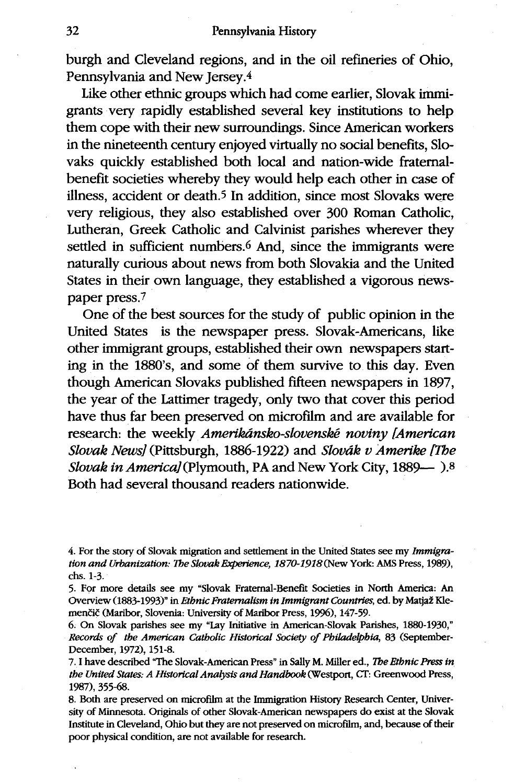burgh and Cleveland regions, and in the oil refineries of Ohio, Pennsylvania and New Jersey.<sup>4</sup>

Like other ethnic groups which had come earlier, Slovak immigrants very rapidly established several key institutions to help them cope with their new surroundings. Since American workers in the nineteenth century enjoyed virtually no social benefits, Slovaks quickly established both local and nation-wide fraternalbenefit societies whereby they would help each other in case of illness, accident or death.<sup>5</sup> In addition, since most Slovaks were very religious, they also established over 300 Roman Catholic, Lutheran, Greek Catholic and Calvinist parishes wherever they settled in sufficient numbers.<sup>6</sup> And, since the immigrants were naturally curious about news from both Slovakia and the United States in their own language, they established a vigorous newspaper press. <sup>7</sup>

One of the best sources for the study of public opinion in the United States is the newspaper press. Slovak-Americans, like other immigrant groups, established their own newspapers starting in the 1880's, and some of them survive to this day. Even though American Slovaks published fifteen newspapers in 1897, the year of the Lattimer tragedy, only two that cover this period have thus far been preserved on microfilm and are available for research: the weekly *Amerikansko-slovenské noviny [American Slovak News]* (Pittsburgh, 1886-1922) and *Slovdk v Amerike [The Slovak in America]* (Plymouth, PA and New York City, 1889-10).8 Both had several thousand readers nationwide.

<sup>4.</sup> For the story of Slovak migration and settlement in the United States see my *Immigration and Urbanization: The Slovak Experience, 1870-1918(New* York: AMS Press, 1989), chs. 1-3.

<sup>5.</sup> For more details see my 'Slovak Fraternal-Benefit Societies in North America: An Overview (1883-1993)" in *Ethnic Fraternalism in Immigrant Countries*, ed. by Matjaž Klemenčič (Maribor, Slovenia: University of Maribor Press, 1996), 147-59.

<sup>6.</sup> On Slovak parishes see my 'Lay Initiative in American-Slovak Parishes, 1880-1930," *Records of the American Catholic Historical Society of Philadelphia,* 83 (September-December, 1972), 151-8.

<sup>7.</sup> I have described 'The Slovak-American Press" in Sally M. Miller ed., *The Ethnic Press in the United States: A Historical Analysis and Handbook* (Westport, CT: Greenwood Press, 1987), 355-68.

<sup>8.</sup> Both are preserved on microfilm at the Immigration History Research Center, University of Minnesota. Originals of other Slovak-American newspapers do exist at the Slovak Institute in Cleveland, Ohio but they are not preserved on microfilm, and, because of their poor physical condition, are not available for research.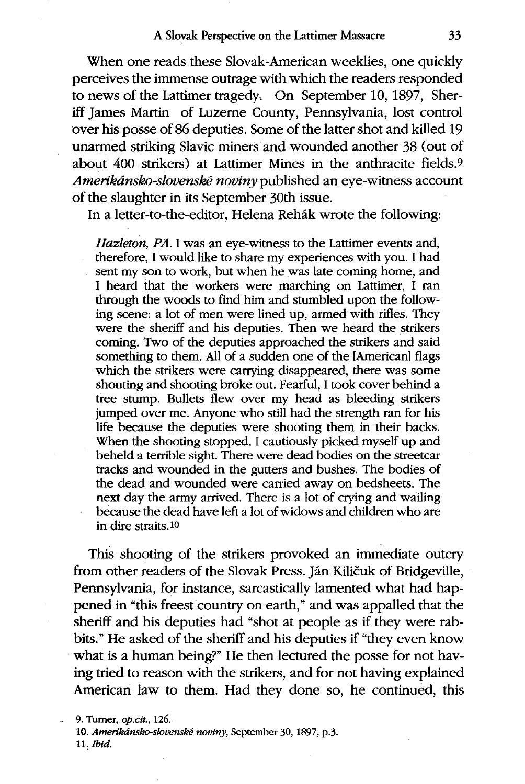When one reads these Slovak-American weeklies, one quickly perceives the immense outrage with which the readers responded to news of the Lattimer tragedy. On September 10, 1897, Sheriff James Martin of Luzerne County, Pennsylvania, lost control over his posse of 86 deputies. Some of the latter shot and killed 19 unarmed striking Slavic miners and wounded another 38 (out of about 400 strikers) at Lattimer Mines in the anthracite fields.9 *Amerikánsko-slovenské noviny* published an eye-witness account of the slaughter in its September 30th issue.

In a letter-to-the-editor, Helena Rehák wrote the following:

*Hazleton, PA.* I was an eye-witness to the Lattimer events and, therefore, I would like to share my experiences with you. I had sent my son to work, but when he was late coming home, and I heard that the workers were marching on Lattimer, I ran through the woods to find him and stumbled upon the following scene: a lot of men were lined up, armed with rifles. They were the sheriff and his deputies. Then we heard the strikers coming. Two of the deputies approached the strikers and said something to them. All of a sudden one of the [American] flags which the strikers were carrying disappeared, there was some shouting and shooting broke out. Fearful, I took cover behind a tree stump. Bullets flew over my head as bleeding strikers jumped over me. Anyone who still had the strength ran for his life because the deputies were shooting them in their backs. When the shooting stopped, I cautiously picked myself up and beheld a terrible sight. There were dead bodies on the streetcar tracks and wounded in the gutters and bushes. The bodies of the dead and wounded were carried away on bedsheets. The next day the army arrived. There is a lot of crying and wailing because the dead have left a lot of widows and children who are in dire straits.10

This shooting of the strikers provoked an immediate outcry from other readers of the Slovak Press. Ján Kiličuk of Bridgeville, Pennsylvania, for instance, sarcastically lamented what had happened in "this freest country on earth," and was appalled that the sheriff and his deputies had "shot at people as if they were rabbits." He asked of the sheriff and his deputies if "they even know what is a human being?" He then lectured the posse for not having tried to reason with the strikers, and for not having explained American law to them. Had they done so, he continued, this

9. Turner, *op.cit.*, 126. 10. Amerikánsko-slovenské noviny, September 30, 1897, p.3. *11. Ibid.*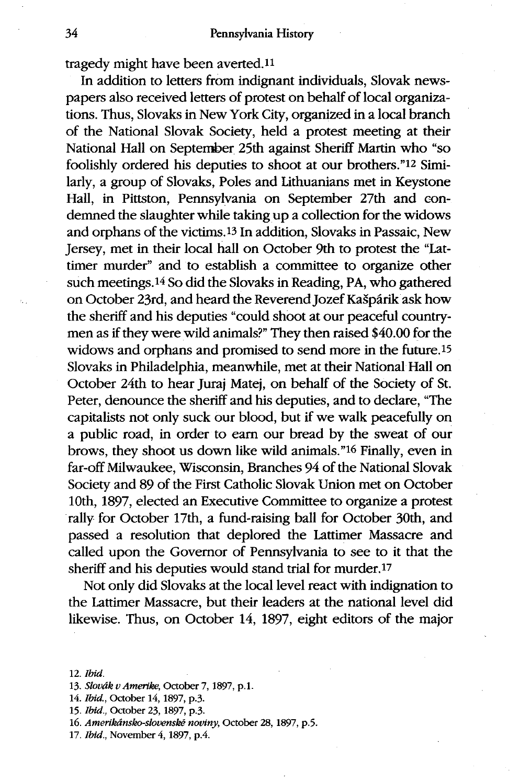tragedy might have been averted.<sup>11</sup>

In addition to letters from indignant individuals, Slovak newspapers also received letters of protest on behalf of local organizations. Thus, Slovaks in New York City, organized in a local branch of the National Slovak Society, held a protest meeting at their National Hall on Septenber 25th against Sheriff Martin who "so foolishly ordered his deputies to shoot at our brothers."12 Similarly, a group of Slovaks, Poles and Lithuanians met in Keystone Hall, in Pittston, Pennsylvania on September 27th and condemned the slaughter while taking up a collection for the widows and orphans of the victims. 13 In addition, Slovaks in Passaic, New Jersey, met in their local hall on October 9th to protest the "Lattimer murder" and to establish a committee to organize other such meetings. 14 So did the Slovaks in Reading, PA, who gathered on October 23rd, and heard the Reverend Jozef Kašpárik ask how the sheriff and his deputies "could shoot at our peaceful countrymen as if they were wild animals?" They then raised \$40.00 for the widows and orphans and promised to send more in the future.<sup>15</sup> Slovaks in Philadelphia, meanwhile, met at their National Hall on October 24th to hear Juraj Matej, on behalf of the Society of St. Peter, denounce the sheriff and his deputies, and to declare, "The capitalists not only suck our blood, but if we walk peacefully on a public road, in order to earn our bread by the sweat of our brows, they shoot us down like wild animals."16 Finally, even in far-off Milwaukee, Wisconsin, Branches 94 of the National Slovak Society and 89 of the First Catholic Slovak Union met on October 10th, 1897, elected an Executive Committee to organize a protest rally for October 17th, a fund-raising ball for October 30th, and passed a resolution that deplored the Lattimer Massacre and called upon the Governor of Pennsylvania to see to it that the sheriff and his deputies would stand trial for murder.<sup>17</sup>

Not only did Slovaks at the local level react with indignation to the Lattimer Massacre, but their leaders at the national level did likewise. Thus, on October 14, 1897, eight editors of the major

<sup>12.</sup> *Ibid.*

<sup>13.</sup> *Slovdk vAmerike,* October 7, 1897, p.l.

<sup>14.</sup> *Ibid.,* October 14,1897, *p.3.*

<sup>15.</sup> *Ibid.,* October 23, 1897, p.3.

*<sup>16.</sup> Amerikdnsko-slovenske novtny,* October 28, 1897, p.5.

<sup>17.</sup> *Ibid.*, November 4, 1897, p.4.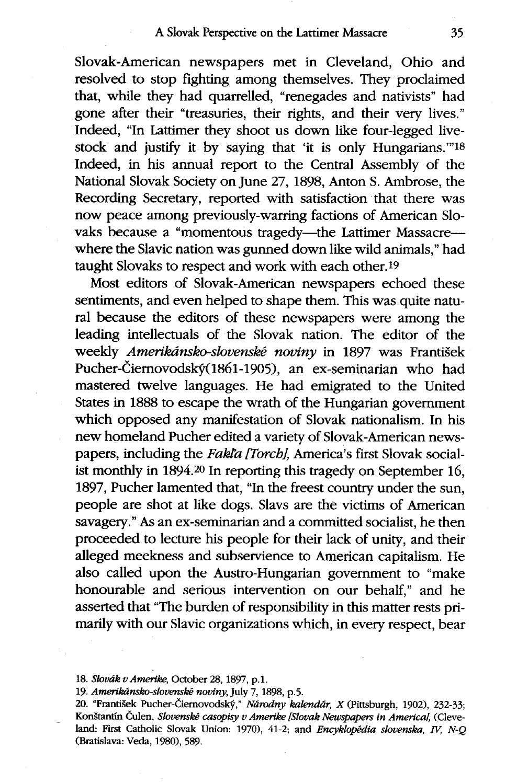Slovak-American newspapers met in Cleveland, Ohio and resolved to stop fighting among themselves. They proclaimed that, while they had quarrelled, "renegades and nativists" had gone after their "treasuries, their rights, and their very lives." Indeed, "In Lattimer they shoot us down like four-legged livestock and justify it by saying that 'it is only Hungarians."'18 Indeed, in his annual report to the Central Assembly of the National Slovak Society on June 27, 1898, Anton S. Ambrose, the Recording Secretary, reported with satisfaction that there was now peace among previously-warring factions of American Slovaks because a "momentous tragedy-the Lattimer Massacre-where the Slavic nation was gunned down like wild animals," had taught Slovaks to respect and work with each other.19

Most editors of Slovak-American newspapers echoed these sentiments, and even helped to shape them. This was quite natural because the editors of these newspapers were among the leading intellectuals of the Slovak nation. The editor of the weekly *Amerikdnsko-slovenske noviny* in 1897 was Frantisek Pucher-Čiernovodský(1861-1905), an ex-seminarian who had mastered twelve languages. He had emigrated to the United States in 1888 to escape the wrath of the Hungarian government which opposed any manifestation of Slovak nationalism. In his new homeland Pucher edited a variety of Slovak-American newspapers, including the *Fakta ITorchi,* America's first Slovak socialist monthly in 1894.20 In reporting this tragedy on September 16, 1897, Pucher lamented that, "In the freest country under the sun, people are shot at like dogs. Slavs are the victims of American savagery." As an ex-seminarian and a committed socialist, he then proceeded to lecture his people for their lack of unity, and their alleged meekness and subservience to American capitalism. He also called upon the Austro-Hungarian government to "make honourable and serious intervention on our behalf," and he asserted that "The burden of responsibility in this matter rests primarily with our Slavic organizations which, in every respect, bear

19. Amerikánsko-slovenské noviny, July 7, 1898, p.5.

<sup>18.</sup> *Slovak vAmerike,* October 28, 1897, p.1.

<sup>20. &</sup>quot;František Pucher-Čiernovodský," *Národny kalendár*, X (Pittsburgh, 1902), 232-33; Konštantín Čulen, *Slovenské casopisy v Amerike [Slovak Newspapers in America]*, (Cleveland: First Catholic Slovak Union: 1970), 41-2; and *Encyklopedia slovenska, IV, N-Q* (Bratislava: Veda, 1980), 589.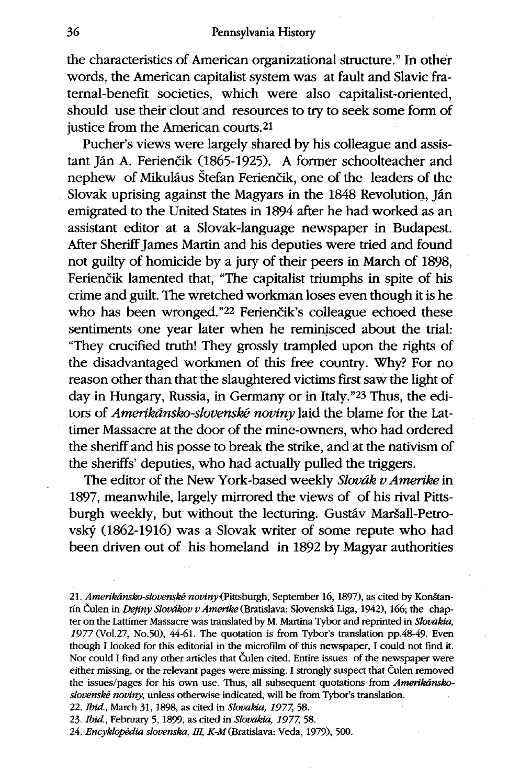the characteristics of American organizational structure." In other words, the American capitalist system was at fault and Slavic fraternal-benefit societies, which were also capitalist-oriented, should use their clout and resources to try to seek some form of justice from the American courts.<sup>21</sup>

Pucher's views were largely shared by his colleague and assistant Ján A. Ferienčik (1865-1925). A former schoolteacher and nephew of Mikuláus Štefan Ferienčik, one of the leaders of the Slovak uprising against the Magyars in the 1848 Revolution, Jan emigrated to the United States in 1894 after he had worked as an assistant editor at a Slovak-language newspaper in Budapest. After Sheriff James Martin and his deputies were tried and found not guilty of homicide by a jury of their peers in March of 1898, Ferienčik lamented that, "The capitalist triumphs in spite of his crime and guilt. The wretched workman loses even though it is he who has been wronged."<sup>22</sup> Ferienčik's colleague echoed these sentiments one year later when he reminisced about the trial: "They crucified truth! They grossly trampled upon the rights of the disadvantaged workmen of this free country. Why? For no reason other than that the slaughtered victims first saw the light of day in Hungary, Russia, in Germany or in Italy."23 Thus, the editors of *Amerikdnsko-slovensk6 noviny* laid the blame for the Lattimer Massacre at the door of the mine-owners, who had ordered the sheriff and his posse to break the strike, and at the nativism of the sheriffs' deputies, who had actually pulled the triggers.

The editor of the New York-based weekly *Slovdk v Amerike* in 1897, meanwhile, largely mirrored the views of of his rival Pittsburgh weekly, but without the lecturing. Gustav Maršall-Petrovsky (1862-1916) was a Slovak writer of some repute who had been driven out of his homeland in 1892 by Magyar authorities

21. Amerikánsko-slovenské noviny (Pittsburgh, September 16, 1897), as cited by Konštantín Čulen in *Dejiny Slovákov v Amerike* (Bratislava: Slovenská Liga, 1942), 166; the chapter on the Lattimer Massacre was translated by M. Martina Tybor and reprinted in *Slovakia,* 1977 (Vol.27, No.50), 44-61. The quotation is from Tybor's translation pp.48-49. Ever though I looked for this editorial in the microfilm of this newspaper, I could not find it. Nor could I find any other articles that Čulen cited. Entire issues of the newspaper were either missing, or the relevant pages were missing. I strongly suspect that Culen removed the issues/pages for his own use. Thus, all subsequent quotations from *Amerikdnskoslovenske noviny,* unless otherwise indicated, will be from Tybor's translation.

22. *Ibid.,* March 31, 1898, as cited in *Slovakia, 1977,* 58.

23. *Ibid.,* February 5, 1899, as cited in *Slovakia, 1977,* 58.

24. *Encyklopedia slovenska, HI,* K-M(Bratislava: Veda, 1979), 500.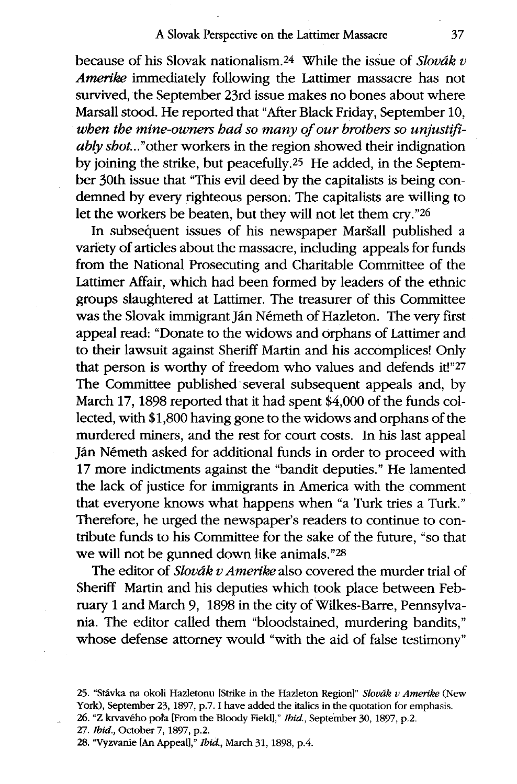## A Slovak Perspective on the Lattimer Massacre

because of his Slovak nationalism.<sup>24</sup> While the issue of *Slovák v Amerike* immediately following the Lattimer massacre has not survived, the September 23rd issue makes no bones about where Marsall stood. He reported that "After Black Friday, September 10, *when the mine-owners had so many of our brothers so unjustifiably* shot..."other workers in the region showed their indignation by joining the strike, but peacefully.<sup>25</sup> He added, in the September 30th issue that "This evil deed by the capitalists is being condemned by every righteous person. The capitalists are willing to let the workers be beaten, but they will not let them cry."<sup>26</sup>

In subsequent issues of his newspaper Maršall published a variety of articles about the massacre, including appeals for funds from the National Prosecuting and Charitable Committee of the Lattimer Affair, which had been formed by leaders of the ethnic groups slaughtered at Lattimer. The treasurer of this Committee was the Slovak immigrant Ján Németh of Hazleton. The very first appeal read: "Donate to the widows and orphans of Lattimer and to their lawsuit against Sheriff Martin and his accomplices! Only that person is worthy of freedom who values and defends it!"27 The Committee published several subsequent appeals and, by March 17, 1898 reported that it had spent \$4,000 of the funds collected, with \$1,800 having gone to the widows and orphans of the murdered miners, and the rest for court costs. In his last appeal Ján Németh asked for additional funds in order to proceed with 17 more indictments against the "bandit deputies." He lamented the lack of justice for immigrants in America with the comment that everyone knows what happens when "a Turk tries a Turk." Therefore, he urged the newspaper's readers to continue to contribute funds to his Committee for the sake of the future, "so that we will not be gunned down like animals."28

The editor of *Slovak v Amerike* also covered the murder trial of Sheriff Martin and his deputies which took place between February 1 and March 9, 1898 in the city of Wilkes-Barre, Pennsylvania. The editor called them "bloodstained, murdering bandits," whose defense attorney would "with the aid of false testimony"

- 27. *Ibid.*, October 7, 1897, p.2.
- 28. "Vyzvanie [An Appeal]," *Ibid.*, March 31, 1898, p.4.

<sup>25. &</sup>quot;Stlvka na okoli Hazletonu [Strike in the Hazleton Region]" *Slovak v Amerke* (New York), September 23, 1897, p.7. I have added the italics in the quotation for emphasis.

<sup>26. &</sup>quot;Z krvaveho pota [From the Bloody Field]," *Ibid.,* September 30, 1897, p.<sup>2</sup> .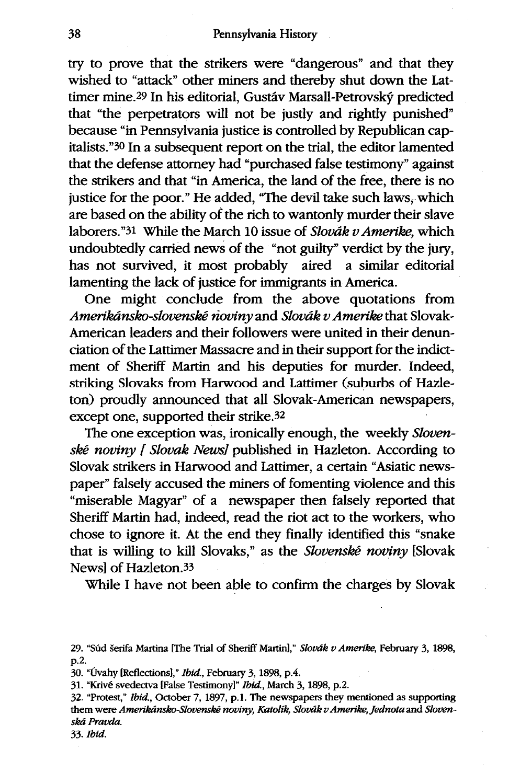try to prove that the strikers were "dangerous" and that they wished to "attack" other miners and thereby shut down the Lattimer mine.29 In his editorial, Gustav Marsall-Petrovsky predicted that "the perpetrators will not be justly and rightly punished" because "in Pennsylvania justice is controlled by Republican capitalists."30 In a subsequent report on the trial, the editor lamented that the defense attorney had "purchased false testimony" against the strikers and that "in America, the land of the free, there is no justice for the poor." He added, "The devil take such laws, which are based on the ability of the rich to wantonly murder their slave laborers."31 While the March 10 issue of *Slovak vAmerike,* which undoubtedly carried news of the "not guilty" verdict by the jury, has not survived, it most probably aired a similar editorial lamenting the lack of justice for immigrants in America.

One might conclude from the above quotations from *Amerikdnsko-slovenskW noviny and Slovdk vAmerike* that Slovak-American leaders and their followers were united in their denunciation of the Lattimer Massacre and in their support for the indictment of Sheriff Martin and his deputies for murder. Indeed, striking Slovaks from Harwood and Lattimer (suburbs of Hazleton) proudly announced that all Slovak-American newspapers, except one, supported their strike.3<sup>2</sup>

The one exception was, ironically enough, the weekly *Slovenske noviny [ Slovak News]* published in Hazleton. According to Slovak strikers in Harwood and Lattimer, a certain "Asiatic newspaper" falsely accused the miners of fomenting violence and this "miserable Magyar" of a newspaper then falsely reported that Sheriff Martin had, indeed, read the riot act to the workers, who chose to ignore it. At the end they finally identified this "snake that is willing to kill Slovaks," as the *Slovenské noviny* [Slovak News) of Hazleton.33

While I have not been able to confirm the charges by Slovak

31. "Krivé svedectva [False Testimony]" *Ibid.*, March 3, 1898, p.2.

<sup>29. &</sup>quot;Sfid Aerifa Martina [The Trial of Sheriff Martin]," *Slovak v Amerike,* February 3, 1898, p.2.

<sup>30. &</sup>quot;(Ivahy [Reflections]," *Ibid.,* February 3, 1898, p.4 .

<sup>32. &</sup>quot;Protest," *Ibid.,* October 7, 1897, p.1 . The newspapers they mentioned as supporting them were Amerikánsko-Slovenské noviny, Katolík, Slovák v Amerike, Jednota and Sloven*skad Pravda.*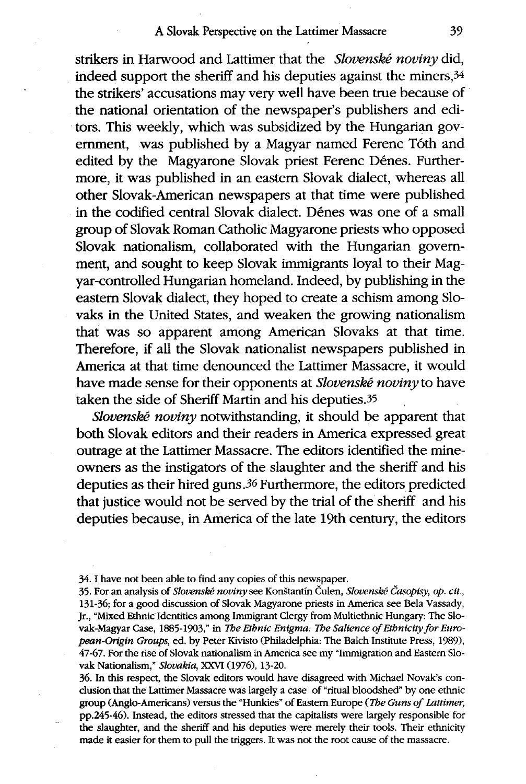## A Slovak Perspective on the Lattimer Massacre

strikers in Harwood and Lattimer that the *Slovenské noviny* did, indeed support the sheriff and his deputies against the miners,  $34$ the strikers' accusations may very well have been true because of the national orientation of the newspaper's publishers and editors. This weekly, which was subsidized by the Hungarian government, was published by a Magyar named Ferenc T6th and edited by the Magyarone Slovak priest Ferenc Dénes. Furthermore, it was published in an eastern Slovak dialect, whereas all other Slovak-American newspapers at that time were published in the codified central Slovak dialect. Dénes was one of a small group of Slovak Roman Catholic Magyarone priests who opposed Slovak nationalism, collaborated with the Hungarian government, and sought to keep Slovak immigrants loyal to their Magyar-controlled Hungarian homeland. Indeed, by publishing in the eastern Slovak dialect, they hoped to create a schism among Slovaks in the United States, and weaken the growing nationalism that was so apparent among American Slovaks at that time. Therefore, if all the Slovak nationalist newspapers published in America at that time denounced the Lattimer Massacre, it would have made sense for their opponents at *Slovenské noviny* to have taken the side of Sheriff Martin and his deputies.3<sup>5</sup>

*Slovenské noviny* notwithstanding, it should be apparent that both Slovak editors and their readers in America expressed great outrage at the Lattimer Massacre. The editors identified the mineowners as the instigators of the slaughter and the sheriff and his deputies as their hired guns 36 Furthermore, the editors predicted that justice would not be served by the trial of the sheriff and his deputies because, in America of the late 19th century, the editors

36. In this respect, the Slovak editors would have disagreed with Michael Novak's conclusion that the Lattimer Massacre was largely a case of "ritual bloodshed" by one ethnic group (Anglo-Americans) versus the "Hunkies" of Eastern Europe *(The Guns of Lattimer,* pp.245-46). Instead, the editors stressed that the capitalists were largely responsible for the slaughter, and the sheriff and his deputies were merely their tools. Their ethnicity made it easier for them to pull the triggers. It was not the root cause of the massacre.

<sup>34.</sup> *I* have not been able to find any copies of this newspaper.

<sup>35.</sup> For an analysis of *Slovenské noviny* see Konštantín Čulen, *Slovenské Časopisy, op. cit.*, 131-36; for a good discussion of Slovak Magyarone priests in America see Bela Vassady, Jr., "Mixed Ethnic Identities among Immigrant Clergy from Multiethnic Hungary: The Slovak-Magyar Case, 1885-1903," in *Tbe Ethnic Enigma: Tbe Salience of Etbnicity for European-Origin Groups,* ed. by Peter Kivisto (Philadelphia: The Balch Institute Press, 1989), 47-67. For the rise of Slovak nationalism in America see my "Immigration and Eastern Slovak Nationalism," *Slovakia,* XXVI (1976), 13-20.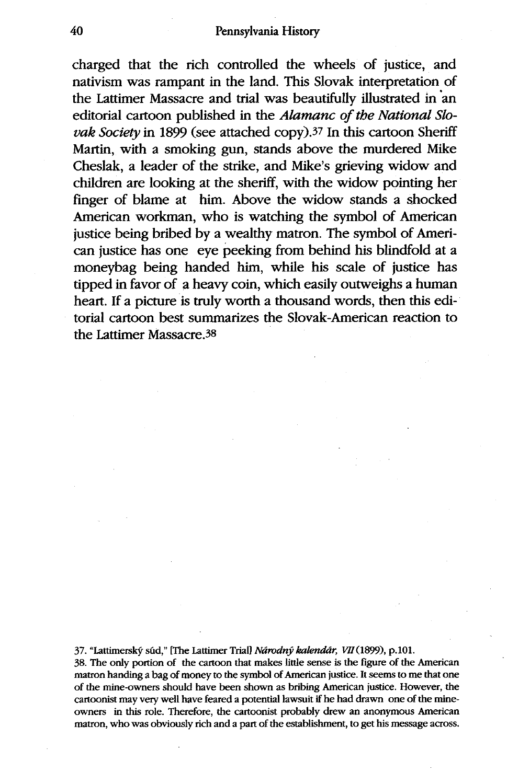charged that the rich controlled the wheels of justice, and nativism was rampant in the land. This Slovak interpretation of the Lattimer Massacre and trial was beautifully illustrated in an editorial cartoon published in the *Alamanc of the National Slovak Society* in 1899 (see attached copy).37 In this cartoon Sheriff Martin, with a smoking gun, stands above the murdered Mike Cheslak, a leader of the strike, and Mike's grieving widow and children are looking at the sheriff, with the widow pointing her finger of blame at him. Above the widow stands a shocked American workman, who is watching the symbol of American justice being bribed by a wealthy matron. The symbol of American justice has one eye peeking from behind his blindfold at a moneybag being handed him, while his scale of justice has tipped in favor of a heavy coin, which easily outweighs a human heart. If a picture is truly worth a thousand words, then this editorial cartoon best summarizes the Slovak-American reaction to the Lattimer Massacre.3<sup>8</sup>

37. "Lattimerský súd," [The Lattimer Trial] *Národný kalendár*, *VII* (1899), p.101.

38. The only portion of the cartoon that makes little sense is the figure of the American matron handing a bag of money to the symbol of American justice. It seems to me that one of the mine-owners should have been shown as bribing American justice. However, the cartoonist may very well have feared a potential lawsuit if he had drawn one of the mineowners in this role. Therefore, the cartoonist probably drew an anonymous American matron, who was obviously rich and a part of the establishment, to get his message across.